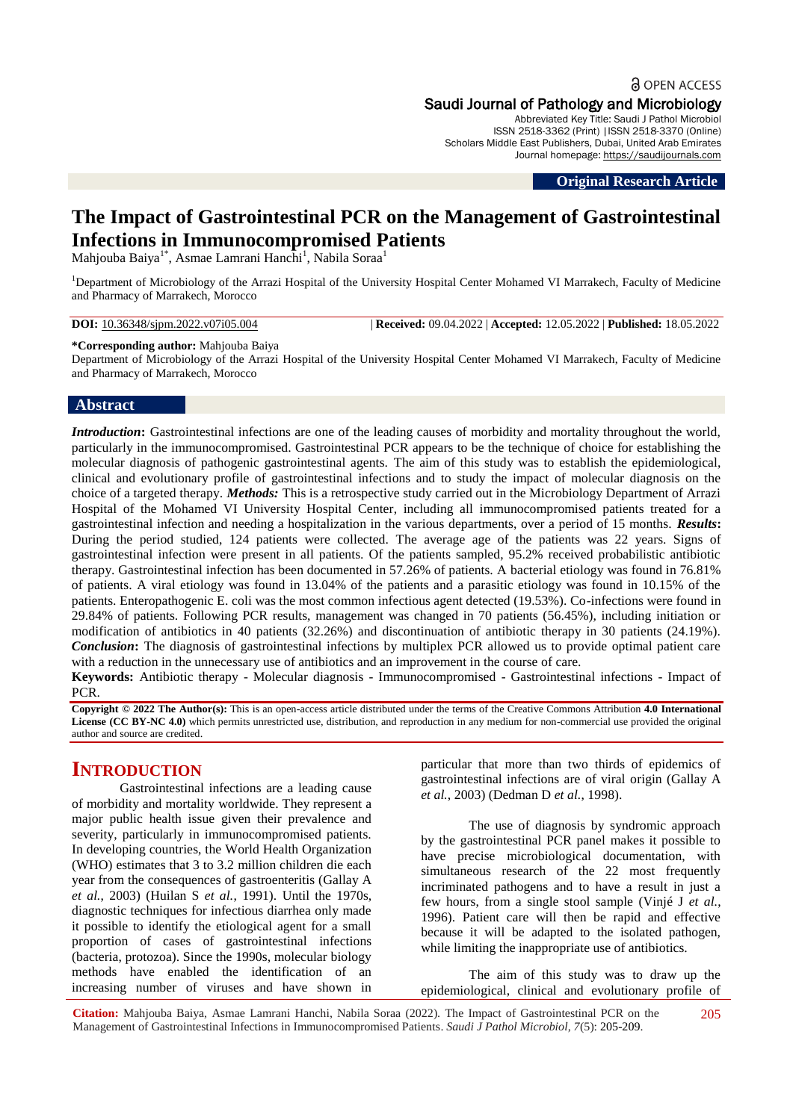a OPEN ACCESS

# Saudi Journal of Pathology and Microbiology

Abbreviated Key Title: Saudi J Pathol Microbiol ISSN 2518-3362 (Print) |ISSN 2518-3370 (Online) Scholars Middle East Publishers, Dubai, United Arab Emirates Journal homepage: [https://saudijournals.com](https://saudijournals.com/sjpm)

**Original Research Article**

# **The Impact of Gastrointestinal PCR on the Management of Gastrointestinal Infections in Immunocompromised Patients**

Mahjouba Baiya<sup>1\*</sup>, Asmae Lamrani Hanchi<sup>1</sup>, Nabila Soraa<sup>1</sup>

<sup>1</sup>Department of Microbiology of the Arrazi Hospital of the University Hospital Center Mohamed VI Marrakech, Faculty of Medicine and Pharmacy of Marrakech, Morocco

**DOI:** 10.36348/sjpm.2022.v07i05.004 | **Received:** 09.04.2022 | **Accepted:** 12.05.2022 | **Published:** 18.05.2022

#### **\*Corresponding author:** Mahjouba Baiya

Department of Microbiology of the Arrazi Hospital of the University Hospital Center Mohamed VI Marrakech, Faculty of Medicine and Pharmacy of Marrakech, Morocco

#### **Abstract**

*Introduction*: Gastrointestinal infections are one of the leading causes of morbidity and mortality throughout the world, particularly in the immunocompromised. Gastrointestinal PCR appears to be the technique of choice for establishing the molecular diagnosis of pathogenic gastrointestinal agents. The aim of this study was to establish the epidemiological, clinical and evolutionary profile of gastrointestinal infections and to study the impact of molecular diagnosis on the choice of a targeted therapy. *Methods:* This is a retrospective study carried out in the Microbiology Department of Arrazi Hospital of the Mohamed VI University Hospital Center, including all immunocompromised patients treated for a gastrointestinal infection and needing a hospitalization in the various departments, over a period of 15 months. *Results***:**  During the period studied, 124 patients were collected. The average age of the patients was 22 years. Signs of gastrointestinal infection were present in all patients. Of the patients sampled, 95.2% received probabilistic antibiotic therapy. Gastrointestinal infection has been documented in 57.26% of patients. A bacterial etiology was found in 76.81% of patients. A viral etiology was found in 13.04% of the patients and a parasitic etiology was found in 10.15% of the patients. Enteropathogenic E. coli was the most common infectious agent detected (19.53%). Co-infections were found in 29.84% of patients. Following PCR results, management was changed in 70 patients (56.45%), including initiation or modification of antibiotics in 40 patients (32.26%) and discontinuation of antibiotic therapy in 30 patients (24.19%). *Conclusion***:** The diagnosis of gastrointestinal infections by multiplex PCR allowed us to provide optimal patient care with a reduction in the unnecessary use of antibiotics and an improvement in the course of care.

**Keywords:** Antibiotic therapy - Molecular diagnosis - Immunocompromised - Gastrointestinal infections - Impact of PCR.

**Copyright © 2022 The Author(s):** This is an open-access article distributed under the terms of the Creative Commons Attribution **4.0 International**  License (CC BY-NC 4.0) which permits unrestricted use, distribution, and reproduction in any medium for non-commercial use provided the original author and source are credited.

# **INTRODUCTION**

Gastrointestinal infections are a leading cause of morbidity and mortality worldwide. They represent a major public health issue given their prevalence and severity, particularly in immunocompromised patients. In developing countries, the World Health Organization (WHO) estimates that 3 to 3.2 million children die each year from the consequences of gastroenteritis (Gallay A *et al.*, 2003) (Huilan S *et al.*, 1991). Until the 1970s, diagnostic techniques for infectious diarrhea only made it possible to identify the etiological agent for a small proportion of cases of gastrointestinal infections (bacteria, protozoa). Since the 1990s, molecular biology methods have enabled the identification of an increasing number of viruses and have shown in

particular that more than two thirds of epidemics of gastrointestinal infections are of viral origin (Gallay A *et al.*, 2003) (Dedman D *et al.*, 1998).

The use of diagnosis by syndromic approach by the gastrointestinal PCR panel makes it possible to have precise microbiological documentation, with simultaneous research of the 22 most frequently incriminated pathogens and to have a result in just a few hours, from a single stool sample (Vinjé J *et al.*, 1996). Patient care will then be rapid and effective because it will be adapted to the isolated pathogen, while limiting the inappropriate use of antibiotics.

The aim of this study was to draw up the epidemiological, clinical and evolutionary profile of

**Citation:** Mahjouba Baiya, Asmae Lamrani Hanchi, Nabila Soraa (2022). The Impact of Gastrointestinal PCR on the Management of Gastrointestinal Infections in Immunocompromised Patients. *Saudi J Pathol Microbiol, 7*(5): 205-209. 205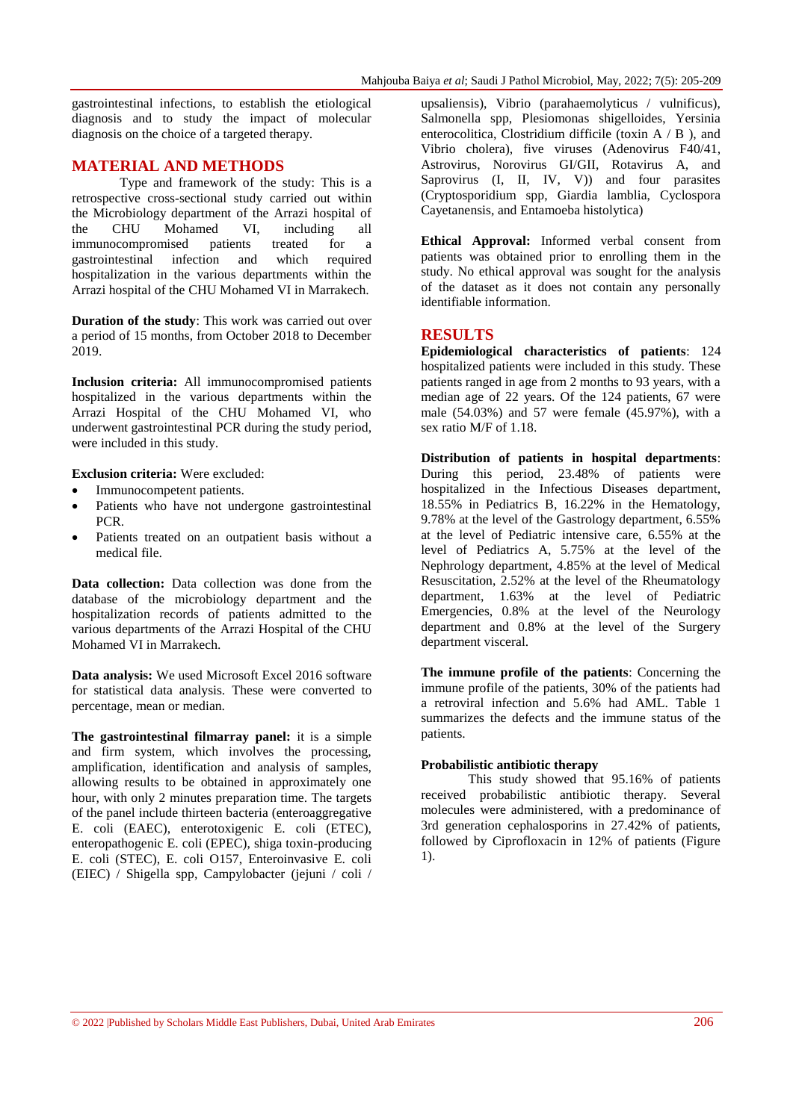gastrointestinal infections, to establish the etiological diagnosis and to study the impact of molecular diagnosis on the choice of a targeted therapy.

# **MATERIAL AND METHODS**

Type and framework of the study: This is a retrospective cross-sectional study carried out within the Microbiology department of the Arrazi hospital of the CHU Mohamed VI, including all immunocompromised patients treated for a gastrointestinal infection and which required hospitalization in the various departments within the Arrazi hospital of the CHU Mohamed VI in Marrakech.

**Duration of the study**: This work was carried out over a period of 15 months, from October 2018 to December 2019.

**Inclusion criteria:** All immunocompromised patients hospitalized in the various departments within the Arrazi Hospital of the CHU Mohamed VI, who underwent gastrointestinal PCR during the study period, were included in this study.

**Exclusion criteria:** Were excluded:

- Immunocompetent patients.
- Patients who have not undergone gastrointestinal PCR.
- Patients treated on an outpatient basis without a medical file.

**Data collection:** Data collection was done from the database of the microbiology department and the hospitalization records of patients admitted to the various departments of the Arrazi Hospital of the CHU Mohamed VI in Marrakech.

**Data analysis:** We used Microsoft Excel 2016 software for statistical data analysis. These were converted to percentage, mean or median.

**The gastrointestinal filmarray panel:** it is a simple and firm system, which involves the processing, amplification, identification and analysis of samples, allowing results to be obtained in approximately one hour, with only 2 minutes preparation time. The targets of the panel include thirteen bacteria (enteroaggregative E. coli (EAEC), enterotoxigenic E. coli (ETEC), enteropathogenic E. coli (EPEC), shiga toxin-producing E. coli (STEC), E. coli O157, Enteroinvasive E. coli (EIEC) / Shigella spp, Campylobacter (jejuni / coli /

upsaliensis), Vibrio (parahaemolyticus / vulnificus), Salmonella spp, Plesiomonas shigelloides, Yersinia enterocolitica, Clostridium difficile (toxin A / B ), and Vibrio cholera), five viruses (Adenovirus F40/41, Astrovirus, Norovirus GI/GII, Rotavirus A, and Saprovirus (I, II, IV, V)) and four parasites (Cryptosporidium spp, Giardia lamblia, Cyclospora Cayetanensis, and Entamoeba histolytica)

**Ethical Approval:** Informed verbal consent from patients was obtained prior to enrolling them in the study. No ethical approval was sought for the analysis of the dataset as it does not contain any personally identifiable information.

## **RESULTS**

**Epidemiological characteristics of patients**: 124 hospitalized patients were included in this study. These patients ranged in age from 2 months to 93 years, with a median age of 22 years. Of the 124 patients, 67 were male (54.03%) and 57 were female (45.97%), with a sex ratio M/F of 1.18.

**Distribution of patients in hospital departments**: During this period, 23.48% of patients were hospitalized in the Infectious Diseases department, 18.55% in Pediatrics B, 16.22% in the Hematology, 9.78% at the level of the Gastrology department, 6.55% at the level of Pediatric intensive care, 6.55% at the level of Pediatrics A, 5.75% at the level of the Nephrology department, 4.85% at the level of Medical Resuscitation, 2.52% at the level of the Rheumatology department, 1.63% at the level of Pediatric Emergencies, 0.8% at the level of the Neurology department and 0.8% at the level of the Surgery department visceral.

**The immune profile of the patients**: Concerning the immune profile of the patients, 30% of the patients had a retroviral infection and 5.6% had AML. Table 1 summarizes the defects and the immune status of the patients.

#### **Probabilistic antibiotic therapy**

This study showed that 95.16% of patients received probabilistic antibiotic therapy. Several molecules were administered, with a predominance of 3rd generation cephalosporins in 27.42% of patients, followed by Ciprofloxacin in 12% of patients (Figure 1).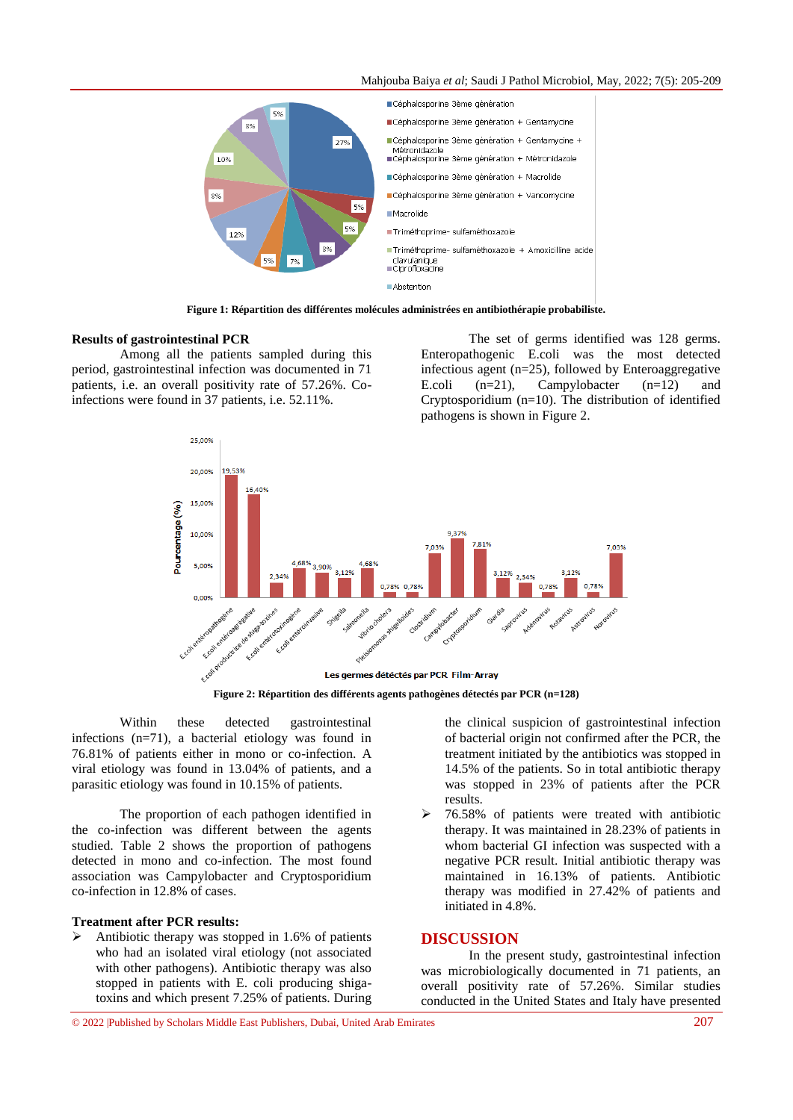#### Mahjouba Baiya *et al*; Saudi J Pathol Microbiol, May, 2022; 7(5): 205-209



**Figure 1: Répartition des différentes molécules administrées en antibiothérapie probabiliste.**

#### **Results of gastrointestinal PCR**

Among all the patients sampled during this period, gastrointestinal infection was documented in 71 patients, i.e. an overall positivity rate of 57.26%. Coinfections were found in 37 patients, i.e. 52.11%.

The set of germs identified was 128 germs. Enteropathogenic E.coli was the most detected infectious agent (n=25), followed by Enteroaggregative E.coli  $(n=21)$ , Campylobacter  $(n=12)$  and Cryptosporidium (n=10). The distribution of identified pathogens is shown in Figure 2.



**Figure 2: Répartition des différents agents pathogènes détectés par PCR (n=128)**

Within these detected gastrointestinal infections (n=71), a bacterial etiology was found in 76.81% of patients either in mono or co-infection. A viral etiology was found in 13.04% of patients, and a parasitic etiology was found in 10.15% of patients.

The proportion of each pathogen identified in the co-infection was different between the agents studied. Table 2 shows the proportion of pathogens detected in mono and co-infection. The most found association was Campylobacter and Cryptosporidium co-infection in 12.8% of cases.

#### **Treatment after PCR results:**

 Antibiotic therapy was stopped in 1.6% of patients who had an isolated viral etiology (not associated with other pathogens). Antibiotic therapy was also stopped in patients with E. coli producing shigatoxins and which present 7.25% of patients. During

the clinical suspicion of gastrointestinal infection of bacterial origin not confirmed after the PCR, the treatment initiated by the antibiotics was stopped in 14.5% of the patients. So in total antibiotic therapy was stopped in 23% of patients after the PCR results.

 $\geq$  76.58% of patients were treated with antibiotic therapy. It was maintained in 28.23% of patients in whom bacterial GI infection was suspected with a negative PCR result. Initial antibiotic therapy was maintained in 16.13% of patients. Antibiotic therapy was modified in 27.42% of patients and initiated in 4.8%.

### **DISCUSSION**

In the present study, gastrointestinal infection was microbiologically documented in 71 patients, an overall positivity rate of 57.26%. Similar studies conducted in the United States and Italy have presented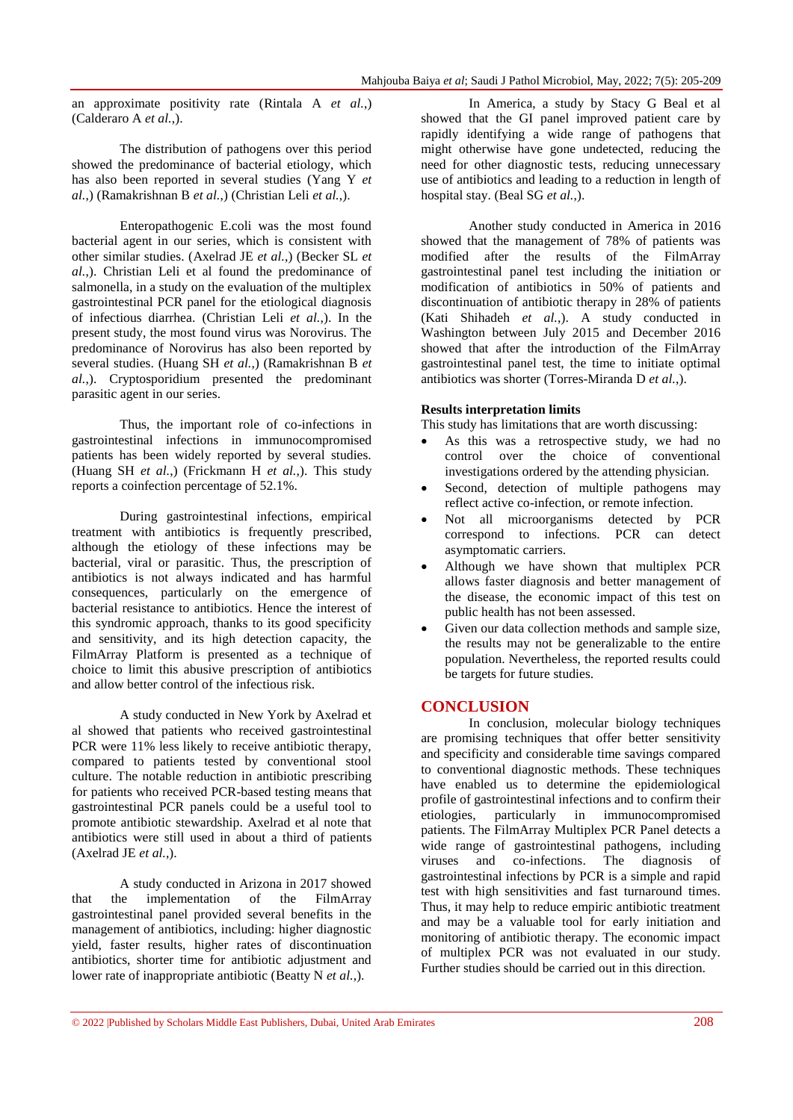an approximate positivity rate (Rintala A *et al.*,) (Calderaro A *et al.*,).

The distribution of pathogens over this period showed the predominance of bacterial etiology, which has also been reported in several studies (Yang Y *et al.*,) (Ramakrishnan B *et al.*,) (Christian Leli *et al.*,).

Enteropathogenic E.coli was the most found bacterial agent in our series, which is consistent with other similar studies. (Axelrad JE *et al.*,) (Becker SL *et al.*,). Christian Leli et al found the predominance of salmonella, in a study on the evaluation of the multiplex gastrointestinal PCR panel for the etiological diagnosis of infectious diarrhea. (Christian Leli *et al.*,). In the present study, the most found virus was Norovirus. The predominance of Norovirus has also been reported by several studies. (Huang SH *et al.*,) (Ramakrishnan B *et al.*,). Cryptosporidium presented the predominant parasitic agent in our series.

Thus, the important role of co-infections in gastrointestinal infections in immunocompromised patients has been widely reported by several studies. (Huang SH *et al.*,) (Frickmann H *et al.*,). This study reports a coinfection percentage of 52.1%.

During gastrointestinal infections, empirical treatment with antibiotics is frequently prescribed, although the etiology of these infections may be bacterial, viral or parasitic. Thus, the prescription of antibiotics is not always indicated and has harmful consequences, particularly on the emergence of bacterial resistance to antibiotics. Hence the interest of this syndromic approach, thanks to its good specificity and sensitivity, and its high detection capacity, the FilmArray Platform is presented as a technique of choice to limit this abusive prescription of antibiotics and allow better control of the infectious risk.

A study conducted in New York by Axelrad et al showed that patients who received gastrointestinal PCR were 11% less likely to receive antibiotic therapy, compared to patients tested by conventional stool culture. The notable reduction in antibiotic prescribing for patients who received PCR-based testing means that gastrointestinal PCR panels could be a useful tool to promote antibiotic stewardship. Axelrad et al note that antibiotics were still used in about a third of patients (Axelrad JE *et al.*,).

A study conducted in Arizona in 2017 showed<br>ne implementation of the FilmArray that the implementation of the FilmArray gastrointestinal panel provided several benefits in the management of antibiotics, including: higher diagnostic yield, faster results, higher rates of discontinuation antibiotics, shorter time for antibiotic adjustment and lower rate of inappropriate antibiotic (Beatty N *et al.*,).

In America, a study by Stacy G Beal et al showed that the GI panel improved patient care by rapidly identifying a wide range of pathogens that might otherwise have gone undetected, reducing the need for other diagnostic tests, reducing unnecessary use of antibiotics and leading to a reduction in length of hospital stay. (Beal SG *et al.*,).

Another study conducted in America in 2016 showed that the management of 78% of patients was modified after the results of the FilmArray gastrointestinal panel test including the initiation or modification of antibiotics in 50% of patients and discontinuation of antibiotic therapy in 28% of patients (Kati Shihadeh *et al.*,). A study conducted in Washington between July 2015 and December 2016 showed that after the introduction of the FilmArray gastrointestinal panel test, the time to initiate optimal antibiotics was shorter (Torres-Miranda D *et al.*,).

#### **Results interpretation limits**

This study has limitations that are worth discussing:

- As this was a retrospective study, we had no control over the choice of conventional investigations ordered by the attending physician.
- Second, detection of multiple pathogens may reflect active co-infection, or remote infection.
- Not all microorganisms detected by PCR correspond to infections. PCR can detect asymptomatic carriers.
- Although we have shown that multiplex PCR allows faster diagnosis and better management of the disease, the economic impact of this test on public health has not been assessed.
- Given our data collection methods and sample size, the results may not be generalizable to the entire population. Nevertheless, the reported results could be targets for future studies.

### **CONCLUSION**

In conclusion, molecular biology techniques are promising techniques that offer better sensitivity and specificity and considerable time savings compared to conventional diagnostic methods. These techniques have enabled us to determine the epidemiological profile of gastrointestinal infections and to confirm their etiologies, particularly in immunocompromised patients. The FilmArray Multiplex PCR Panel detects a wide range of gastrointestinal pathogens, including viruses and co-infections. The diagnosis of gastrointestinal infections by PCR is a simple and rapid test with high sensitivities and fast turnaround times. Thus, it may help to reduce empiric antibiotic treatment and may be a valuable tool for early initiation and monitoring of antibiotic therapy. The economic impact of multiplex PCR was not evaluated in our study. Further studies should be carried out in this direction.